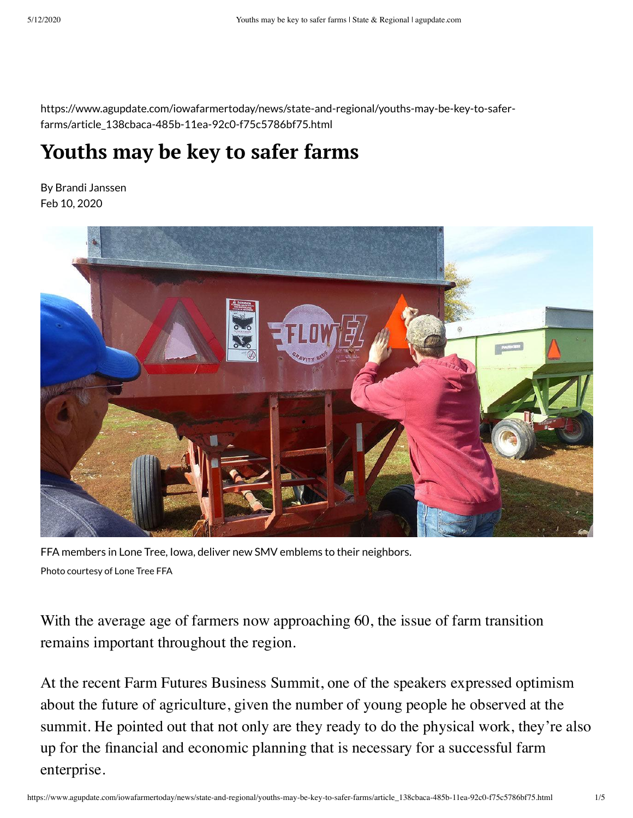https://www.agupdate.com/iowafarmertoday/news/state-and-regional/youths-may-be-key-to-saferfarms/article\_138cbaca-485b-11ea-92c0-f75c5786bf75.html

## **Youths may be key to safer farms**

By Brandi Janssen Feb 10, 2020



FFA members in Lone Tree, Iowa, deliver new SMV emblems to their neighbors. Photo courtesy of Lone Tree FFA

With the average age of farmers now approaching 60, the issue of farm transition remains important throughout the region.

At the recent Farm Futures Business Summit, one of the speakers expressed optimism about the future of agriculture, given the number of young people he observed at the summit. He pointed out that not only are they ready to do the physical work, they're also up for the financial and economic planning that is necessary for a successful farm enterprise.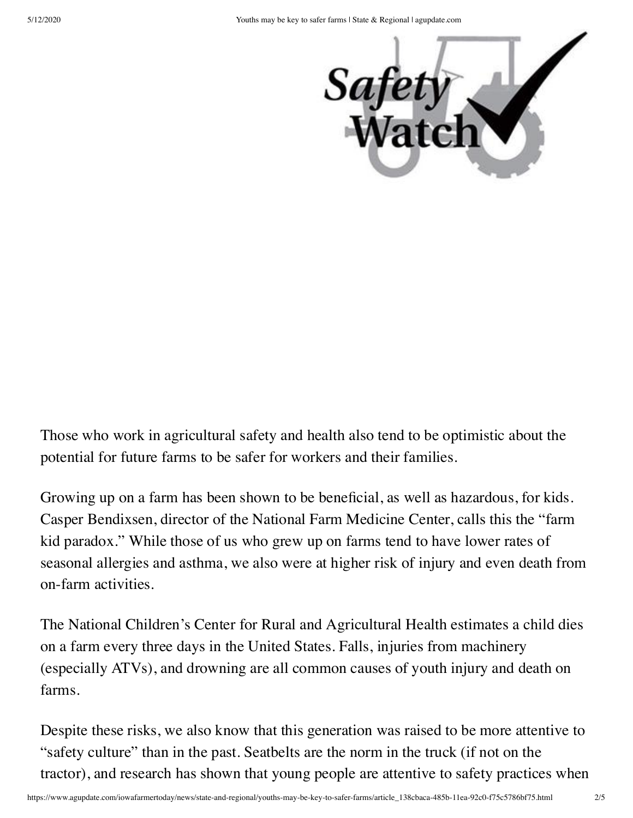

Those who work in agricultural safety and health also tend to be optimistic about the potential for future farms to be safer for workers and their families.

Growing up on a farm has been shown to be beneficial, as well as hazardous, for kids. Casper Bendixsen, director of the National Farm Medicine Center, calls this the "farm kid paradox." While those of us who grew up on farms tend to have lower rates of seasonal allergies and asthma, we also were at higher risk of injury and even death from on-farm activities.

The National Children's Center for Rural and Agricultural Health estimates a child dies on a farm every three days in the United States. Falls, injuries from machinery (especially ATVs), and drowning are all common causes of youth injury and death on farms.

Despite these risks, we also know that this generation was raised to be more attentive to "safety culture" than in the past. Seatbelts are the norm in the truck (if not on the tractor), and research has shown that young people are attentive to safety practices when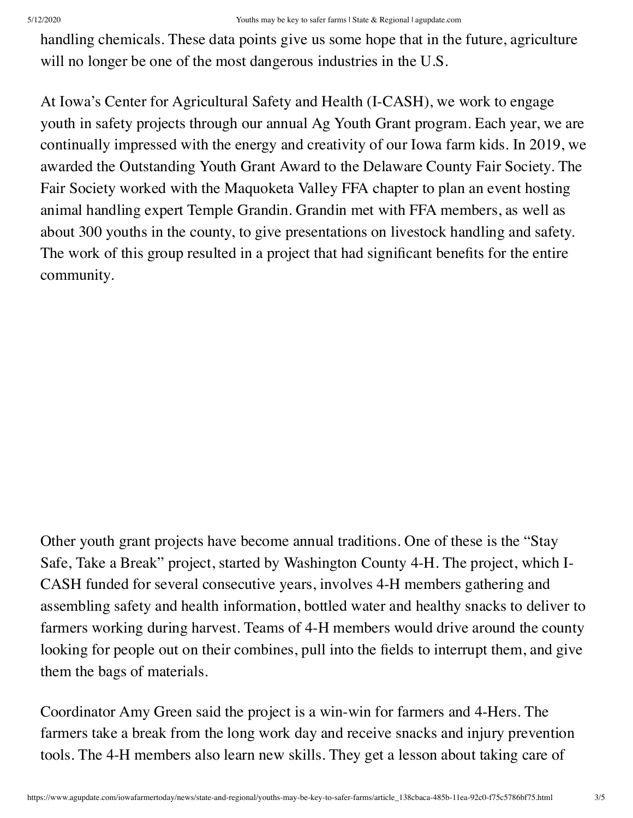handling chemicals. These data points give us some hope that in the future, agriculture will no longer be one of the most dangerous industries in the U.S.

At Iowa's Center for Agricultural Safety and Health (I-CASH), we work to engage youth in safety projects through our annual Ag Youth Grant program. Each year, we are continually impressed with the energy and creativity of our Iowa farm kids. In 2019, we awarded the Outstanding Youth Grant Award to the Delaware County Fair Society. The Fair Society worked with the Maquoketa Valley FFA chapter to plan an event hosting animal handling expert Temple Grandin. Grandin met with FFA members, as well as about 300 youths in the county, to give presentations on livestock handling and safety. The work of this group resulted in a project that had significant benefits for the entire community.

Other youth grant projects have become annual traditions. One of these is the "Stay Safe, Take a Break" project, started by Washington County 4-H. The project, which I-CASH funded for several consecutive years, involves 4-H members gathering and assembling safety and health information, bottled water and healthy snacks to deliver to farmers working during harvest. Teams of 4-H members would drive around the county looking for people out on their combines, pull into the fields to interrupt them, and give them the bags of materials.

Coordinator Amy Green said the project is a win-win for farmers and 4-Hers. The farmers take a break from the long work day and receive snacks and injury prevention tools. The 4-H members also learn new skills. They get a lesson about taking care of